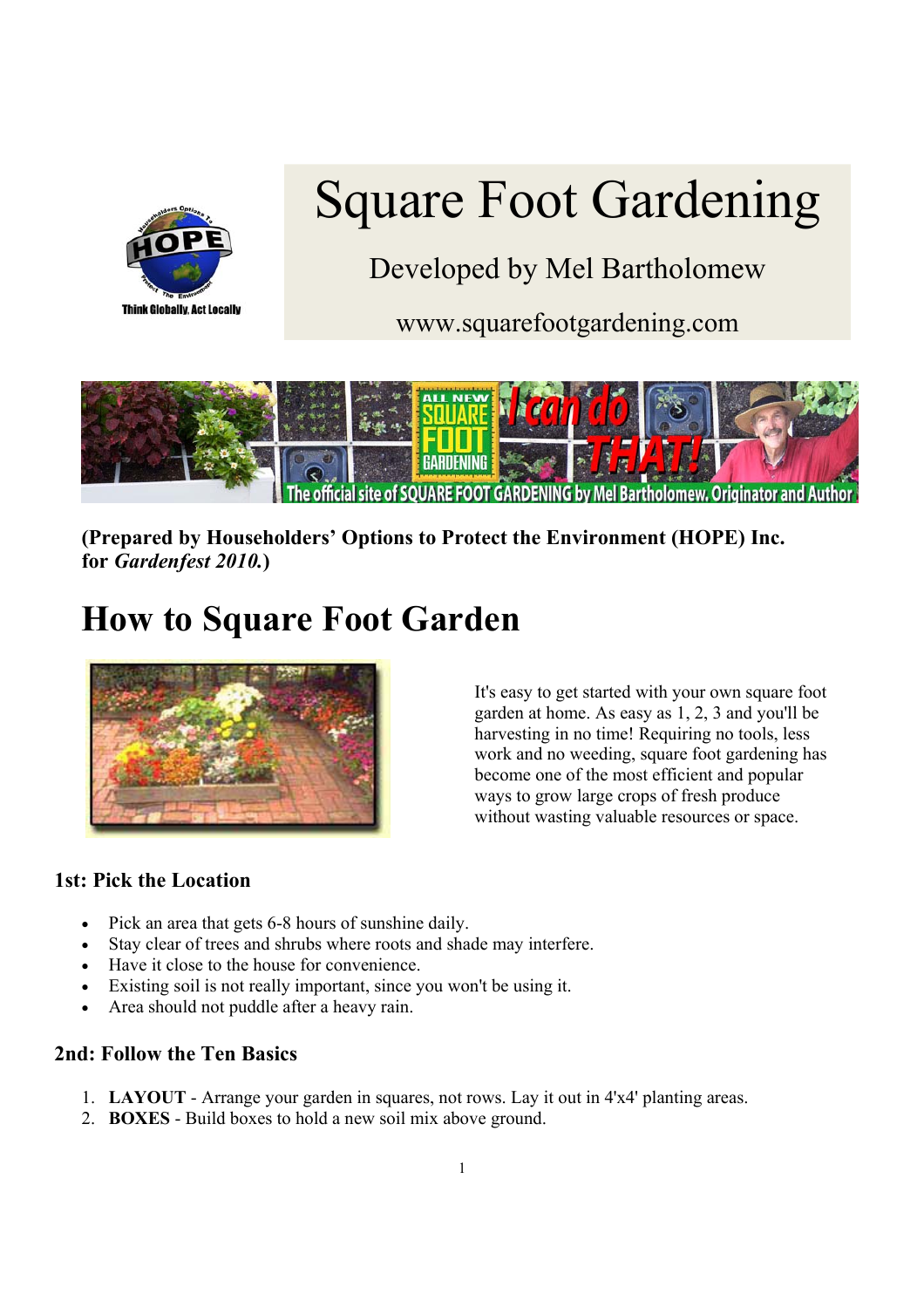

# Square Foot Gardening

Developed by Mel Bartholomew

www.squarefootgardening.com



**(Prepared by Householders' Options to Protect the Environment (HOPE) Inc. for** *Gardenfest 2010.***)** 

# **How to Square Foot Garden**



It's easy to get started with your own square foot garden at home. As easy as 1, 2, 3 and you'll be harvesting in no time! Requiring no tools, less work and no weeding, square foot gardening has become one of the most efficient and popular ways to grow large crops of fresh produce without wasting valuable resources or space.

# **1st: Pick the Location**

- Pick an area that gets 6-8 hours of sunshine daily.
- Stay clear of trees and shrubs where roots and shade may interfere.
- Have it close to the house for convenience.
- Existing soil is not really important, since you won't be using it.
- Area should not puddle after a heavy rain.

# **2nd: Follow the Ten Basics**

- 1. **LAYOUT** Arrange your garden in squares, not rows. Lay it out in 4'x4' planting areas.
- 2. **BOXES** Build boxes to hold a new soil mix above ground.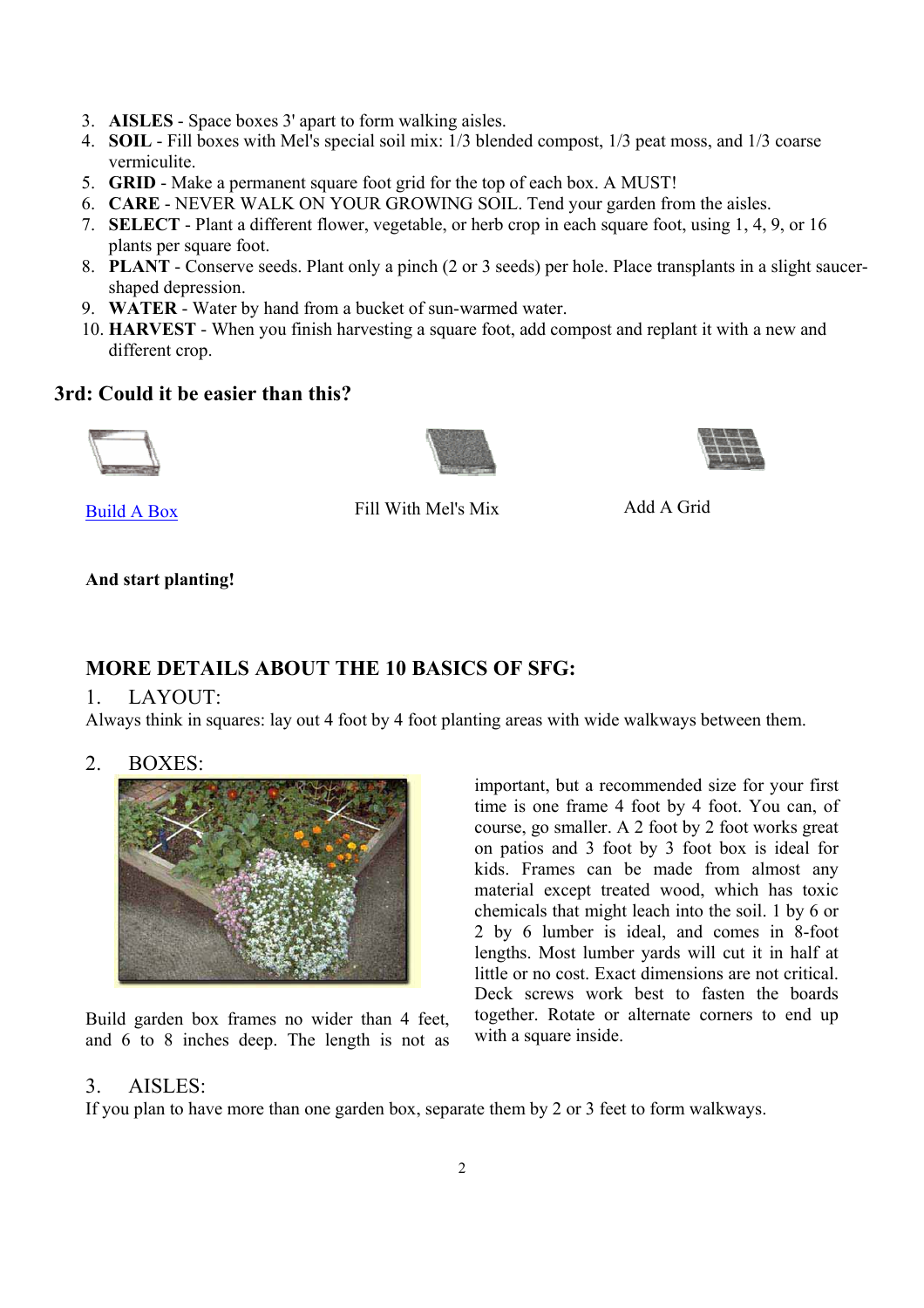- 3. **AISLES** Space boxes 3' apart to form walking aisles.
- 4. **SOIL** Fill boxes with Mel's special soil mix: 1/3 blended compost, 1/3 peat moss, and 1/3 coarse vermiculite.
- 5. **GRID** Make a permanent square foot grid for the top of each box. A MUST!
- 6. **CARE** NEVER WALK ON YOUR GROWING SOIL. Tend your garden from the aisles.
- 7. **SELECT** Plant a different flower, vegetable, or herb crop in each square foot, using 1, 4, 9, or 16 plants per square foot.
- 8. **PLANT** Conserve seeds. Plant only a pinch (2 or 3 seeds) per hole. Place transplants in a slight saucershaped depression.
- 9. **WATER** Water by hand from a bucket of sun-warmed water.
- 10. **HARVEST** When you finish harvesting a square foot, add compost and replant it with a new and different crop.

#### **3rd: Could it be easier than this?**







Build A Box Fill With Mel's Mix Add A Grid

#### **And start planting!**

# **MORE DETAILS ABOUT THE 10 BASICS OF SFG:**

#### 1. LAYOUT:

Always think in squares: lay out 4 foot by 4 foot planting areas with wide walkways between them.

2. BOXES:



Build garden box frames no wider than 4 feet, and 6 to 8 inches deep. The length is not as important, but a recommended size for your first time is one frame 4 foot by 4 foot. You can, of course, go smaller. A 2 foot by 2 foot works great on patios and 3 foot by 3 foot box is ideal for kids. Frames can be made from almost any material except treated wood, which has toxic chemicals that might leach into the soil. 1 by 6 or 2 by 6 lumber is ideal, and comes in 8-foot lengths. Most lumber yards will cut it in half at little or no cost. Exact dimensions are not critical. Deck screws work best to fasten the boards together. Rotate or alternate corners to end up with a square inside.

#### 3. AISLES:

If you plan to have more than one garden box, separate them by 2 or 3 feet to form walkways.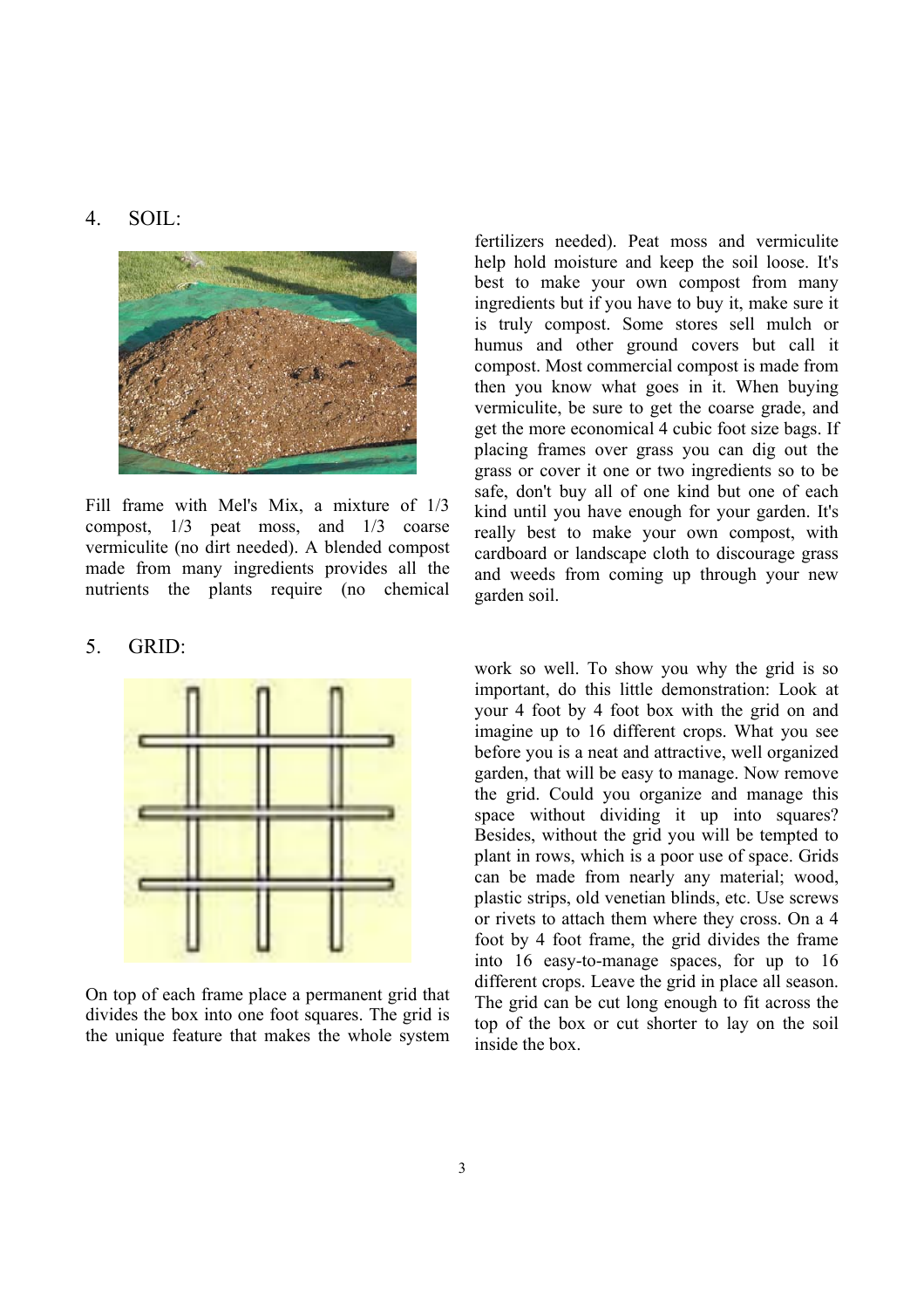#### 4. SOIL:



Fill frame with Mel's Mix, a mixture of 1/3 compost, 1/3 peat moss, and 1/3 coarse vermiculite (no dirt needed). A blended compost made from many ingredients provides all the nutrients the plants require (no chemical

#### 5. GRID:



On top of each frame place a permanent grid that divides the box into one foot squares. The grid is the unique feature that makes the whole system fertilizers needed). Peat moss and vermiculite help hold moisture and keep the soil loose. It's best to make your own compost from many ingredients but if you have to buy it, make sure it is truly compost. Some stores sell mulch or humus and other ground covers but call it compost. Most commercial compost is made from then you know what goes in it. When buying vermiculite, be sure to get the coarse grade, and get the more economical 4 cubic foot size bags. If placing frames over grass you can dig out the grass or cover it one or two ingredients so to be safe, don't buy all of one kind but one of each kind until you have enough for your garden. It's really best to make your own compost, with cardboard or landscape cloth to discourage grass and weeds from coming up through your new garden soil.

work so well. To show you why the grid is so important, do this little demonstration: Look at your 4 foot by 4 foot box with the grid on and imagine up to 16 different crops. What you see before you is a neat and attractive, well organized garden, that will be easy to manage. Now remove the grid. Could you organize and manage this space without dividing it up into squares? Besides, without the grid you will be tempted to plant in rows, which is a poor use of space. Grids can be made from nearly any material; wood, plastic strips, old venetian blinds, etc. Use screws or rivets to attach them where they cross. On a 4 foot by 4 foot frame, the grid divides the frame into 16 easy-to-manage spaces, for up to 16 different crops. Leave the grid in place all season. The grid can be cut long enough to fit across the top of the box or cut shorter to lay on the soil inside the box.